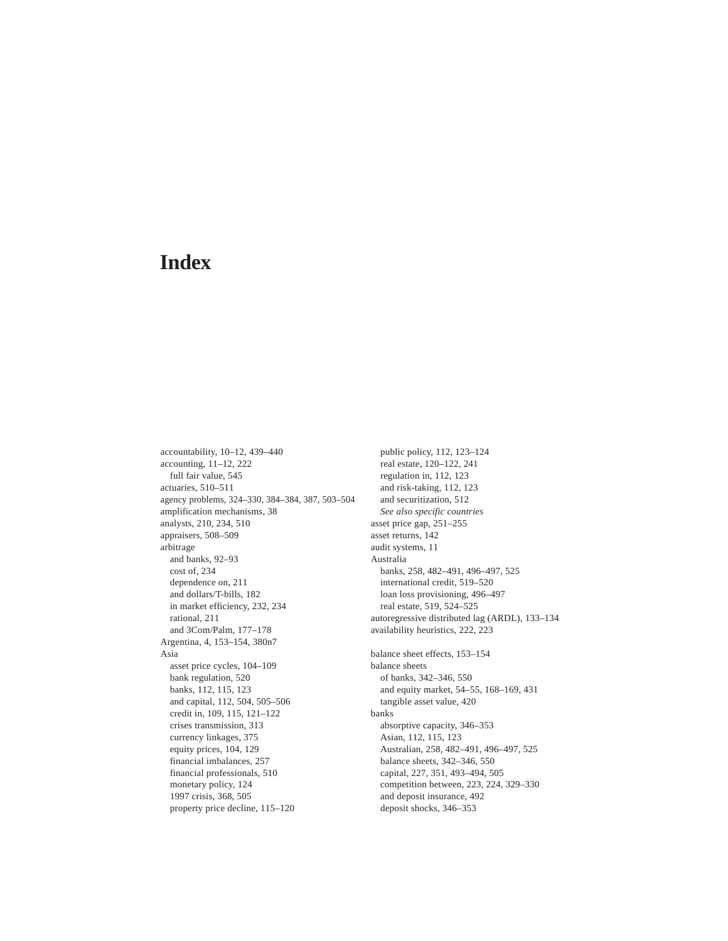accountability, 10–12, 439–440 accounting, 11–12, 222 full fair value, 545 actuaries, 510–511 agency problems, 324–330, 384–384, 387, 503–504 amplification mechanisms, 38 analysts, 210, 234, 510 appraisers, 508–509 arbitrage and banks, 92–93 cost of, 234 dependence on, 211 and dollars/T-bills, 182 in market efficiency, 232, 234 rational, 211 and 3Com/Palm, 177–178 Argentina, 4, 153–154, 380n7 Asia asset price cycles, 104–109 bank regulation, 520 banks, 112, 115, 123 and capital, 112, 504, 505–506 credit in, 109, 115, 121–122 crises transmission, 313 currency linkages, 375 equity prices, 104, 129 financial imbalances, 257 financial professionals, 510 monetary policy, 124 1997 crisis, 368, 505 property price decline, 115–120

public policy, 112, 123–124 real estate, 120–122, 241 regulation in, 112, 123 and risk-taking, 112, 123 and securitization, 512 *See also specific countries* asset price gap, 251–255 asset returns, 142 audit systems, 11 Australia banks, 258, 482–491, 496–497, 525 international credit, 519–520 loan loss provisioning, 496–497 real estate, 519, 524–525 [autoregressive distributed lag \(ARDL\), 133–134](#page--1-0) availability heuristics, 222, 223 balance sheet effects, 153–154 balance sheets of banks, 342–346, 550 and equity market, 54–55, 168–169, 431 tangible asset value, 420 banks absorptive capacity, 346–353 Asian, 112, 115, 123 Australian, 258, 482–491, 496–497, 525 balance sheets, 342–346, 550 capital, 227, 351, 493–494, 505 competition between, 223, 224, 329–330 and deposit insurance, 492 deposit shocks, 346–353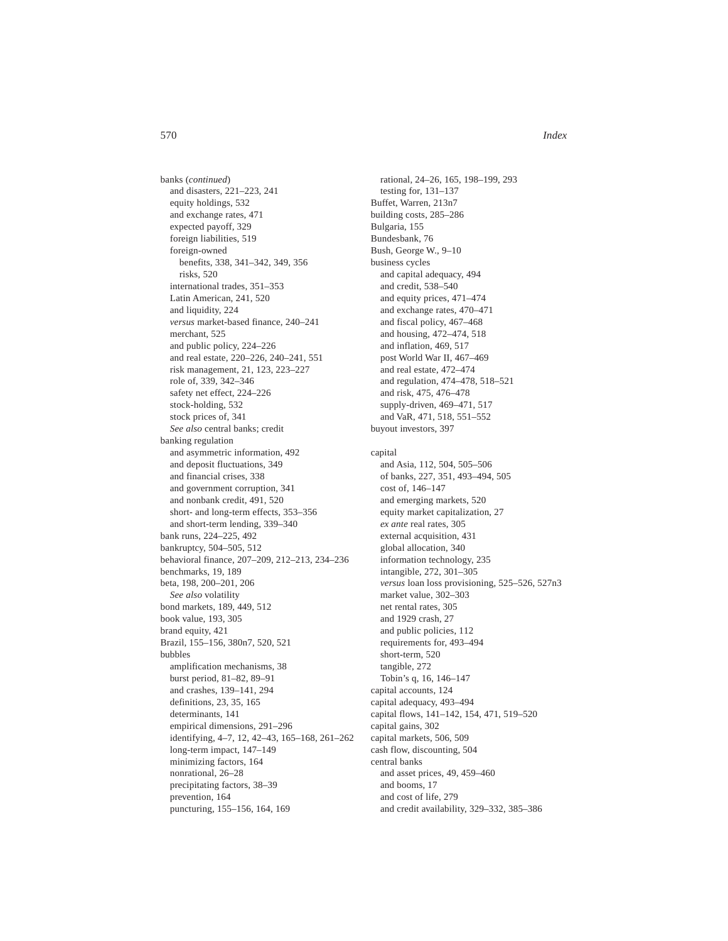banks (*continued*) and disasters, 221–223, 241 equity holdings, 532 and exchange rates, 471 expected payoff, 329 foreign liabilities, 519 foreign-owned benefits, 338, 341–342, 349, 356 risks, 520 international trades, 351–353 Latin American, 241, 520 and liquidity, 224 *versus* market-based finance, 240–241 merchant, 525 and public policy, 224–226 and real estate, 220–226, 240–241, 551 risk management, 21, 123, 223–227 role of, 339, 342–346 safety net effect, 224–226 stock-holding, 532 stock prices of, 341 *See also* central banks; credit banking regulation and asymmetric information, 492 and deposit fluctuations, 349 and financial crises, 338 and government corruption, 341 and nonbank credit, 491, 520 short- and long-term effects, 353–356 and short-term lending, 339–340 bank runs, 224–225, 492 bankruptcy, 504–505, 512 behavioral finance, 207–209, 212–213, 234–236 benchmarks, 19, 189 beta, 198, 200–201, 206 *See also* volatility bond markets, 189, 449, 512 book value, 193, 305 brand equity, 421 Brazil, 155–156, 380n7, 520, 521 bubbles amplification mechanisms, 38 burst period, 81–82, 89–91 and crashes, 139–141, 294 definitions, 23, 35, 165 determinants, 141 empirical dimensions, 291–296 identifying, 4–7, 12, 42–43, 165–168, 261–262 long-term impact, 147–149 minimizing factors, 164 nonrational, 26–28 precipitating factors, 38–39 prevention, 164

puncturing, 155–156, 164, 169

rational, 24–26, 165, 198–199, 293 testing for, 131–137 Buffet, Warren, 213n7 building costs, 285–286 Bulgaria, 155 Bundesbank, 76 Bush, George W., 9–10 business cycles and capital adequacy, 494 and credit, 538–540 and equity prices, 471–474 and exchange rates, 470–471 and fiscal policy, 467–468 and housing, 472–474, 518 and inflation, 469, 517 post World War II, 467–469 and real estate, 472–474 and regulation, 474–478, 518–521 and risk, 475, 476–478 supply-driven, 469–471, 517 and VaR, 471, 518, 551–552 buyout investors, 397 capital and Asia, 112, 504, 505–506 of banks, 227, 351, 493–494, 505 cost of, 146–147 and emerging markets, 520 equity market capitalization, 27 *ex ante* real rates, 305 external acquisition, 431 global allocation, 340 information technology, 235 intangible, 272, 301–305 *versus* loan loss provisioning, 525–526, 527n3 market value, 302–303 net rental rates, 305 and 1929 crash, 27 and public policies, 112 requirements for, 493–494 short-term, 520 tangible, 272 Tobin's q, 16, 146–147 capital accounts, 124 capital adequacy, 493–494 capital flows, 141–142, 154, 471, 519–520 capital gains, 302 capital markets, 506, 509 cash flow, discounting, 504 central banks and asset prices, 49, 459–460 and booms, 17 and cost of life, 279 and credit availability, 329–332, 385–386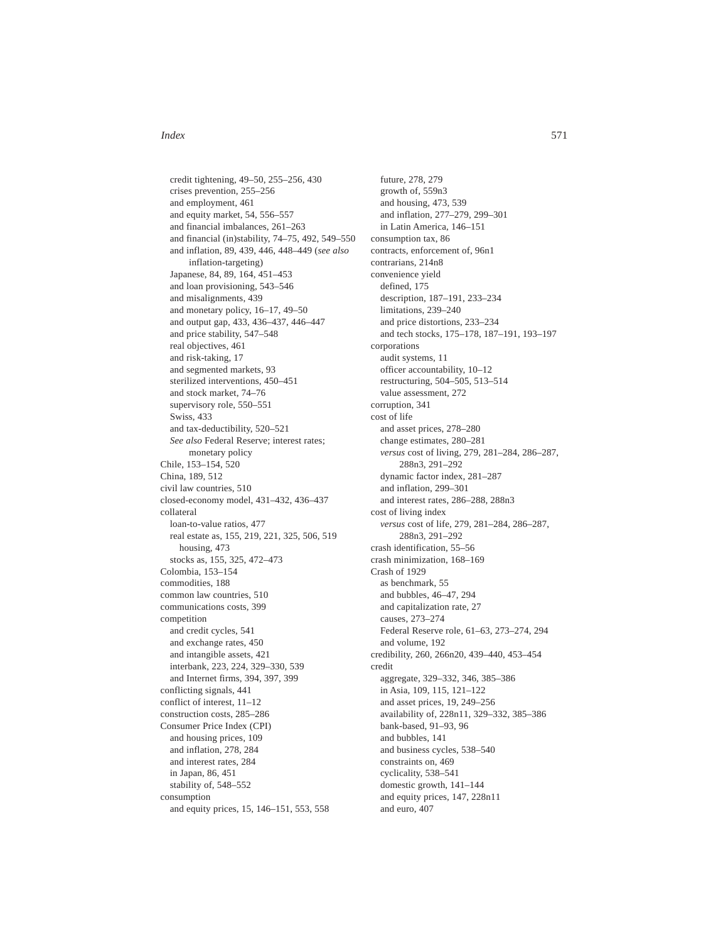credit tightening, 49–50, 255–256, 430 crises prevention, 255–256 and employment, 461 and equity market, 54, 556–557 and financial imbalances, 261–263 and financial (in)stability, 74–75, 492, 549–550 and inflation, 89, 439, 446, 448–449 (*see also* inflation-targeting) Japanese, 84, 89, 164, 451–453 and loan provisioning, 543–546 and misalignments, 439 and monetary policy, 16–17, 49–50 and output gap, 433, 436–437, 446–447 and price stability, 547–548 real objectives, 461 and risk-taking, 17 and segmented markets, 93 sterilized interventions, 450–451 and stock market, 74–76 supervisory role, 550–551 Swiss, 433 and tax-deductibility, 520–521 *See also* Federal Reserve; interest rates; monetary policy Chile, 153–154, 520 China, 189, 512 civil law countries, 510 closed-economy model, 431–432, 436–437 collateral loan-to-value ratios, 477 real estate as, 155, 219, 221, 325, 506, 519 housing, 473 stocks as, 155, 325, 472–473 Colombia, 153–154 commodities, 188 common law countries, 510 communications costs, 399 competition and credit cycles, 541 and exchange rates, 450 and intangible assets, 421 interbank, 223, 224, 329–330, 539 and Internet firms, 394, 397, 399 conflicting signals, 441 conflict of interest, 11–12 construction costs, 285–286 Consumer Price Index (CPI) and housing prices, 109 and inflation, 278, 284 and interest rates, 284 in Japan, 86, 451 stability of, 548–552 consumption and equity prices, 15, 146–151, 553, 558

future, 278, 279 growth of, 559n3 and housing, 473, 539 and inflation, 277–279, 299–301 in Latin America, 146–151 consumption tax, 86 contracts, enforcement of, 96n1 contrarians, 214n8 convenience yield defined, 175 description, 187–191, 233–234 limitations, 239–240 and price distortions, 233–234 and tech stocks, 175–178, 187–191, 193–197 corporations audit systems, 11 officer accountability, 10–12 restructuring, 504–505, 513–514 value assessment, 272 corruption, 341 cost of life and asset prices, 278–280 change estimates, 280–281 *versus* cost of living, 279, 281–284, 286–287, 288n3, 291–292 dynamic factor index, 281–287 and inflation, 299–301 and interest rates, 286–288, 288n3 cost of living index *versus* cost of life, 279, 281–284, 286–287, 288n3, 291–292 crash identification, 55–56 crash minimization, 168–169 Crash of 1929 as benchmark, 55 and bubbles, 46–47, 294 and capitalization rate, 27 causes, 273–274 Federal Reserve role, 61–63, 273–274, 294 and volume, 192 credibility, 260, 266n20, 439–440, 453–454 credit aggregate, 329–332, 346, 385–386 in Asia, 109, 115, 121–122 and asset prices, 19, 249–256 availability of, 228n11, 329–332, 385–386 bank-based, 91–93, 96 and bubbles, 141 and business cycles, 538–540 constraints on, 469 cyclicality, 538–541 domestic growth, 141–144 and equity prices, 147, 228n11 and euro, 407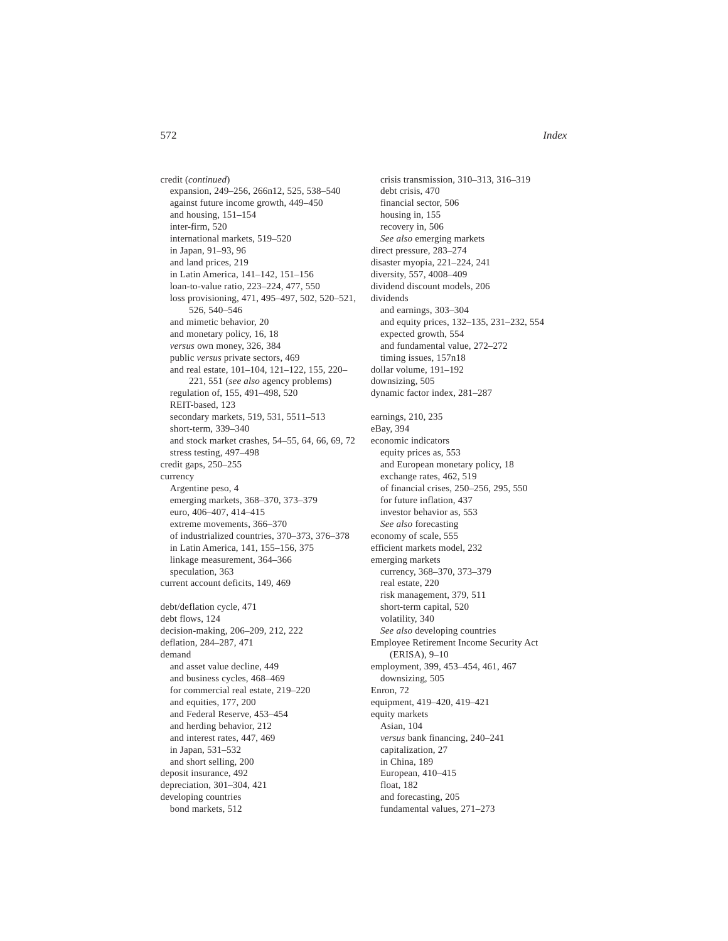credit (*continued*) expansion, 249–256, 266n12, 525, 538–540 against future income growth, 449–450 and housing, 151–154 inter-firm, 520 international markets, 519–520 in Japan, 91–93, 96 and land prices, 219 in Latin America, 141–142, 151–156 loan-to-value ratio, 223–224, 477, 550 loss provisioning, 471, 495–497, 502, 520–521, 526, 540–546 and mimetic behavior, 20 and monetary policy, 16, 18 *versus* own money, 326, 384 public *versus* private sectors, 469 and real estate, 101–104, 121–122, 155, 220– 221, 551 (*see also* agency problems) regulation of, 155, 491–498, 520 REIT-based, 123 secondary markets, 519, 531, 5511–513 short-term, 339–340 and stock market crashes, 54–55, 64, 66, 69, 72 stress testing, 497–498 credit gaps, 250–255 currency Argentine peso, 4 emerging markets, 368–370, 373–379 euro, 406–407, 414–415 extreme movements, 366–370 of industrialized countries, 370–373, 376–378 in Latin America, 141, 155–156, 375 linkage measurement, 364–366 speculation, 363 current account deficits, 149, 469 debt/deflation cycle, 471 debt flows, 124 decision-making, 206–209, 212, 222 deflation, 284–287, 471

demand and asset value decline, 449 and business cycles, 468–469 for commercial real estate, 219–220 and equities, 177, 200 and Federal Reserve, 453–454 and herding behavior, 212 and interest rates, 447, 469 in Japan, 531–532 and short selling, 200 deposit insurance, 492 depreciation, 301–304, 421 developing countries bond markets, 512

crisis transmission, 310–313, 316–319 debt crisis, 470 financial sector, 506 housing in, 155 recovery in, 506 *See also* emerging markets direct pressure, 283–274 disaster myopia, 221–224, 241 diversity, 557, 4008–409 dividend discount models, 206 dividends and earnings, 303–304 and equity prices, 132–135, 231–232, 554 expected growth, 554 and fundamental value, 272–272 timing issues, 157n18 dollar volume, 191–192 downsizing, 505 dynamic factor index, 281–287 earnings, 210, 235 eBay, 394 economic indicators equity prices as, 553 and European monetary policy, 18 exchange rates, 462, 519 of financial crises, 250–256, 295, 550 for future inflation, 437 investor behavior as, 553 *See also* forecasting economy of scale, 555 efficient markets model, 232 emerging markets currency, 368–370, 373–379 real estate, 220 risk management, 379, 511 short-term capital, 520 volatility, 340 *See also* developing countries Employee Retirement Income Security Act (ERISA), 9–10 employment, 399, 453–454, 461, 467 downsizing, 505 Enron, 72 equipment, 419–420, 419–421 equity markets Asian, 104 *versus* bank financing, 240–241 capitalization, 27 in China, 189 European, 410–415 float, 182 and forecasting, 205 fundamental values, 271–273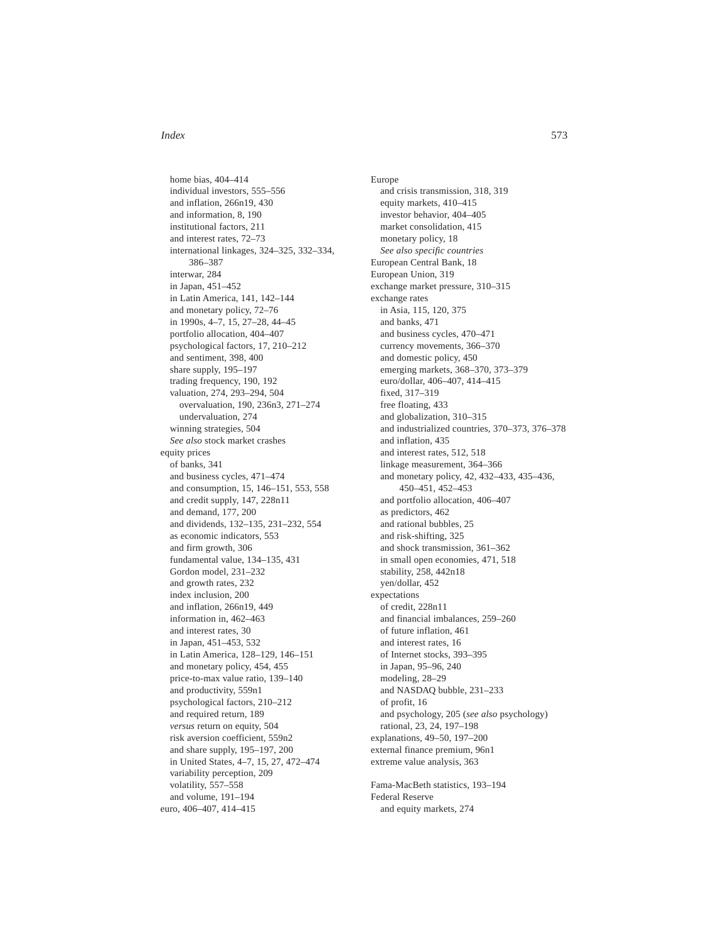home bias, 404–414 individual investors, 555–556 and inflation, 266n19, 430 and information, 8, 190 institutional factors, 211 and interest rates, 72–73 international linkages, 324–325, 332–334, 386–387 interwar, 284 in Japan, 451–452 in Latin America, 141, 142–144 and monetary policy, 72–76 in 1990s, 4–7, 15, 27–28, 44–45 portfolio allocation, 404–407 psychological factors, 17, 210–212 and sentiment, 398, 400 share supply, 195–197 trading frequency, 190, 192 valuation, 274, 293–294, 504 overvaluation, 190, 236n3, 271–274 undervaluation, 274 winning strategies, 504 *See also* stock market crashes equity prices of banks, 341 and business cycles, 471–474 and consumption, 15, 146–151, 553, 558 and credit supply, 147, 228n11 and demand, 177, 200 and dividends, 132–135, 231–232, 554 as economic indicators, 553 and firm growth, 306 fundamental value, 134–135, 431 Gordon model, 231–232 and growth rates, 232 index inclusion, 200 and inflation, 266n19, 449 information in, 462–463 and interest rates, 30 in Japan, 451–453, 532 in Latin America, 128–129, 146–151 and monetary policy, 454, 455 price-to-max value ratio, 139–140 and productivity, 559n1 psychological factors, 210–212 and required return, 189 *versus* return on equity, 504 risk aversion coefficient, 559n2 and share supply, 195–197, 200 in United States, 4–7, 15, 27, 472–474 variability perception, 209 volatility, 557–558 and volume, 191–194 euro, 406–407, 414–415

Europe and crisis transmission, 318, 319 equity markets, 410–415 investor behavior, 404–405 market consolidation, 415 monetary policy, 18 *See also specific countries* European Central Bank, 18 European Union, 319 exchange market pressure, 310–315 exchange rates in Asia, 115, 120, 375 and banks, 471 and business cycles, 470–471 currency movements, 366–370 and domestic policy, 450 emerging markets, 368–370, 373–379 euro/dollar, 406–407, 414–415 fixed, 317–319 free floating, 433 and globalization, 310–315 and industrialized countries, 370–373, 376–378 and inflation, 435 and interest rates, 512, 518 linkage measurement, 364–366 and monetary policy, 42, 432–433, 435–436, 450–451, 452–453 and portfolio allocation, 406–407 as predictors, 462 and rational bubbles, 25 and risk-shifting, 325 and shock transmission, 361–362 in small open economies, 471, 518 stability, 258, 442n18 yen/dollar, 452 expectations of credit, 228n11 and financial imbalances, 259–260 of future inflation, 461 and interest rates, 16 of Internet stocks, 393–395 in Japan, 95–96, 240 modeling, 28–29 and NASDAQ bubble, 231–233 of profit, 16 and psychology, 205 (*see also* psychology) rational, 23, 24, 197–198 explanations, 49–50, 197–200 external finance premium, 96n1 extreme value analysis, 363 Fama-MacBeth statistics, 193–194 Federal Reserve

and equity markets, 274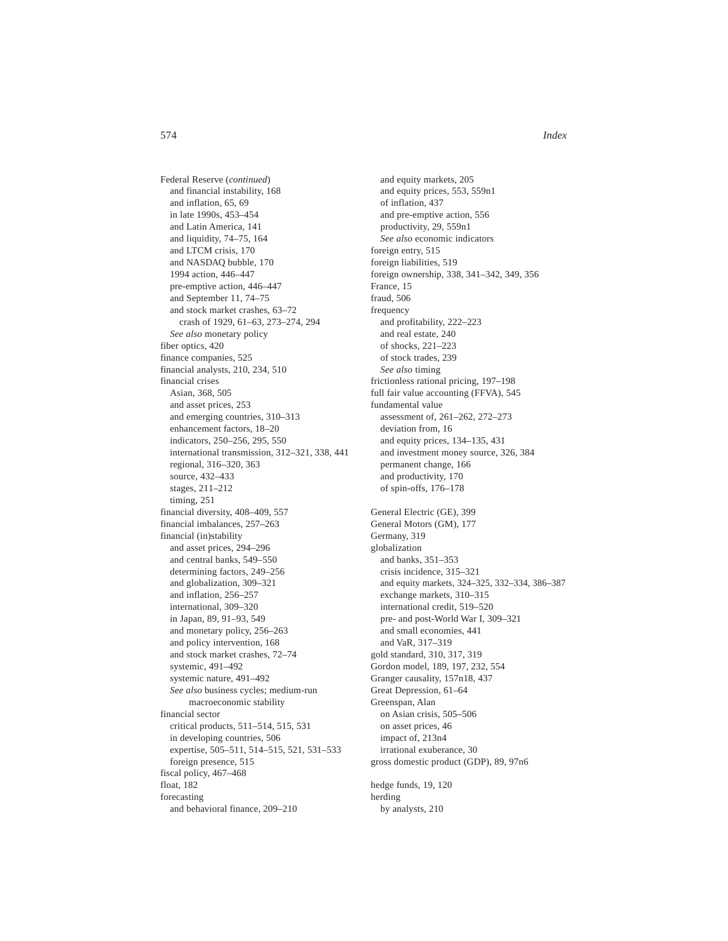Federal Reserve (*continued*) and financial instability, 168 and inflation, 65, 69 in late 1990s, 453–454 and Latin America, 141 and liquidity, 74–75, 164 and LTCM crisis, 170 and NASDAQ bubble, 170 1994 action, 446–447 pre-emptive action, 446–447 and September 11, 74–75 and stock market crashes, 63–72 crash of 1929, 61–63, 273–274, 294 *See also* monetary policy fiber optics, 420 finance companies, 525 financial analysts, 210, 234, 510 financial crises Asian, 368, 505 and asset prices, 253 and emerging countries, 310–313 enhancement factors, 18–20 indicators, 250–256, 295, 550 international transmission, 312–321, 338, 441 regional, 316–320, 363 source, 432–433 stages, 211–212 timing, 251 financial diversity, 408–409, 557 financial imbalances, 257–263 financial (in)stability and asset prices, 294–296 and central banks, 549–550 determining factors, 249–256 and globalization, 309–321 and inflation, 256–257 international, 309–320 in Japan, 89, 91–93, 549 and monetary policy, 256–263 and policy intervention, 168 and stock market crashes, 72–74 systemic, 491–492 systemic nature, 491–492 *See also* business cycles; medium-run macroeconomic stability financial sector critical products, 511–514, 515, 531 in developing countries, 506 expertise, 505–511, 514–515, 521, 531–533 foreign presence, 515 fiscal policy, 467–468 float, 182

forecasting

and behavioral finance, 209–210

and equity markets, 205 and equity prices, 553, 559n1 of inflation, 437 and pre-emptive action, 556 productivity, 29, 559n1 *See also* economic indicators foreign entry, 515 foreign liabilities, 519 foreign ownership, 338, 341–342, 349, 356 France, 15 fraud, 506 frequency and profitability, 222–223 and real estate, 240 of shocks, 221–223 of stock trades, 239 *See also* timing frictionless rational pricing, 197–198 full fair value accounting (FFVA), 545 fundamental value assessment of, 261–262, 272–273 deviation from, 16 and equity prices, 134–135, 431 and investment money source, 326, 384 permanent change, 166 and productivity, 170 of spin-offs, 176–178 General Electric (GE), 399 General Motors (GM), 177 Germany, 319 globalization and banks, 351–353 crisis incidence, 315–321 and equity markets, 324–325, 332–334, 386–387 exchange markets, 310–315 international credit, 519–520 pre- and post-World War I, 309–321 and small economies, 441 and VaR, 317–319 gold standard, 310, 317, 319 Gordon model, 189, 197, 232, 554 Granger causality, 157n18, 437 Great Depression, 61–64 Greenspan, Alan on Asian crisis, 505–506 on asset prices, 46 impact of, 213n4 irrational exuberance, 30 gross domestic product (GDP), 89, 97n6 hedge funds, 19, 120

herding by analysts, 210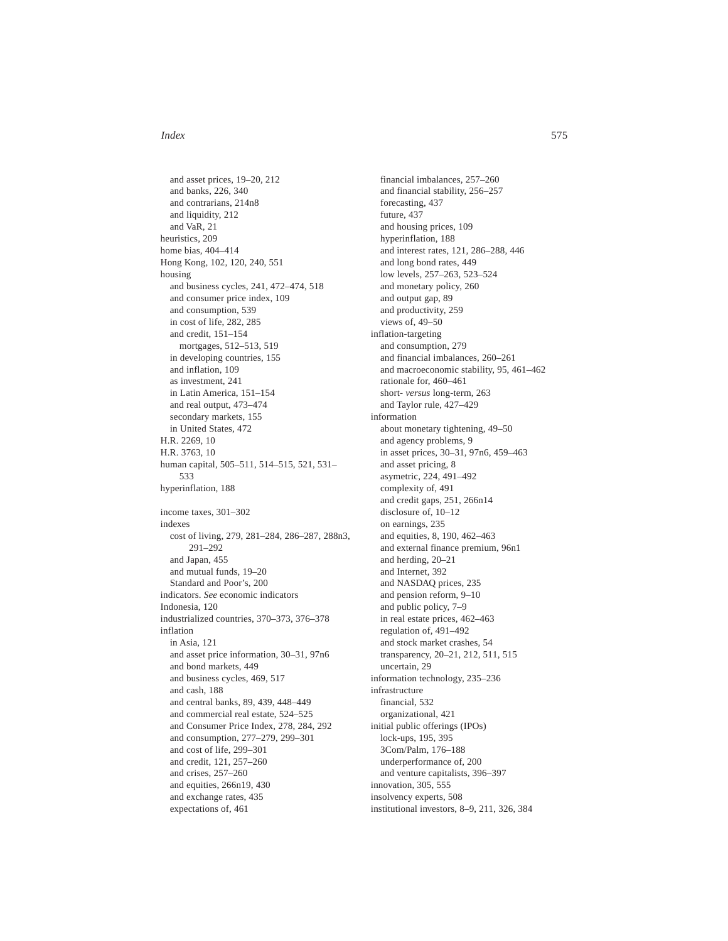and asset prices, 19–20, 212 and banks, 226, 340 and contrarians, 214n8 and liquidity, 212 and VaR, 21 heuristics, 209 home bias, 404–414 Hong Kong, 102, 120, 240, 551 housing and business cycles, 241, 472–474, 518 and consumer price index, 109 and consumption, 539 in cost of life, 282, 285 and credit, 151–154 mortgages, 512–513, 519 in developing countries, 155 and inflation, 109 as investment, 241 in Latin America, 151–154 and real output, 473–474 secondary markets, 155 in United States, 472 H.R. 2269, 10 H.R. 3763, 10 human capital, 505–511, 514–515, 521, 531– 533 hyperinflation, 188 income taxes, 301–302 indexes cost of living, 279, 281–284, 286–287, 288n3, 291–292 and Japan, 455 and mutual funds, 19–20 Standard and Poor's, 200 indicators. *See* economic indicators Indonesia, 120 industrialized countries, 370–373, 376–378 inflation in Asia, 121 and asset price information, 30–31, 97n6 and bond markets, 449 and business cycles, 469, 517 and cash, 188 and central banks, 89, 439, 448–449 and commercial real estate, 524–525 and Consumer Price Index, 278, 284, 292 and consumption, 277–279, 299–301 and cost of life, 299–301 and credit, 121, 257–260 and crises, 257–260 and equities, 266n19, 430 and exchange rates, 435 expectations of, 461

financial imbalances, 257–260 and financial stability, 256–257 forecasting, 437 future, 437 and housing prices, 109 hyperinflation, 188 and interest rates, 121, 286–288, 446 and long bond rates, 449 low levels, 257–263, 523–524 and monetary policy, 260 and output gap, 89 and productivity, 259 views of, 49–50 inflation-targeting and consumption, 279 and financial imbalances, 260–261 and macroeconomic stability, 95, 461–462 rationale for, 460–461 short- *versus* long-term, 263 and Taylor rule, 427–429 information about monetary tightening, 49–50 and agency problems, 9 in asset prices, 30–31, 97n6, 459–463 and asset pricing, 8 asymetric, 224, 491–492 complexity of, 491 and credit gaps, 251, 266n14 disclosure of, 10–12 on earnings, 235 and equities, 8, 190, 462–463 and external finance premium, 96n1 and herding, 20–21 and Internet, 392 and NASDAQ prices, 235 and pension reform, 9–10 and public policy, 7–9 in real estate prices, 462–463 regulation of, 491–492 and stock market crashes, 54 transparency, 20–21, 212, 511, 515 uncertain, 29 information technology, 235–236 infrastructure financial, 532 organizational, 421 initial public offerings (IPOs) lock-ups, 195, 395 3Com/Palm, 176–188 underperformance of, 200 and venture capitalists, 396–397 innovation, 305, 555 insolvency experts, 508 institutional investors, 8–9, 211, 326, 384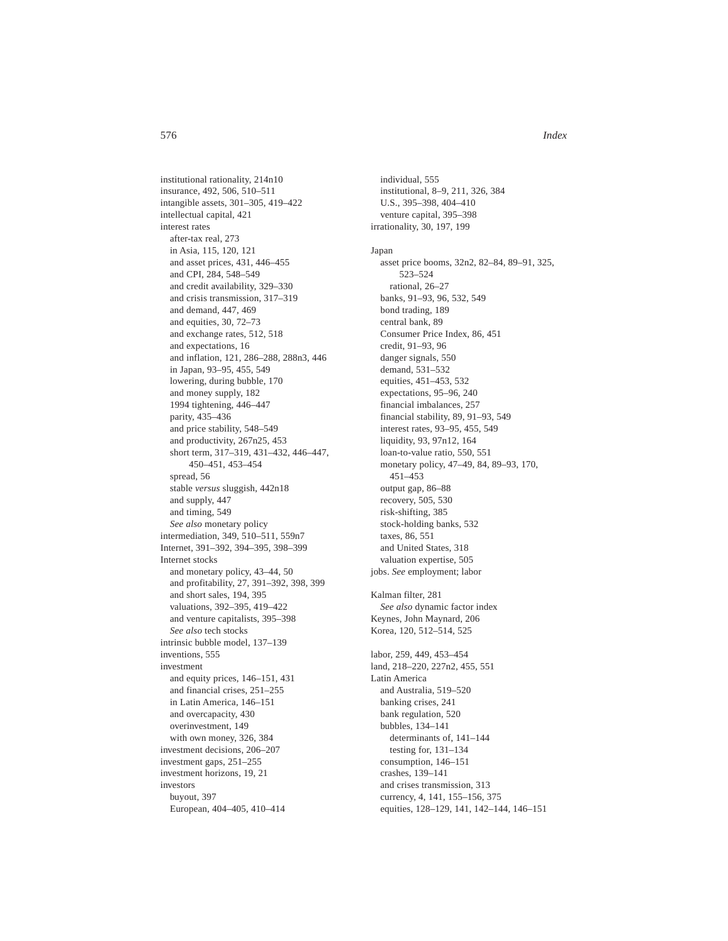institutional rationality, 214n10 insurance, 492, 506, 510–511 intangible assets, 301–305, 419–422 intellectual capital, 421 interest rates after-tax real, 273 in Asia, 115, 120, 121 and asset prices, 431, 446–455 and CPI, 284, 548–549 and credit availability, 329–330 and crisis transmission, 317–319 and demand, 447, 469 and equities, 30, 72–73 and exchange rates, 512, 518 and expectations, 16 and inflation, 121, 286–288, 288n3, 446 in Japan, 93–95, 455, 549 lowering, during bubble, 170 and money supply, 182 1994 tightening, 446–447 parity, 435–436 and price stability, 548–549 and productivity, 267n25, 453 short term, 317–319, 431–432, 446–447, 450–451, 453–454 spread, 56 stable *versus* sluggish, 442n18 and supply, 447 and timing, 549 *See also* monetary policy intermediation, 349, 510–511, 559n7 Internet, 391–392, 394–395, 398–399 Internet stocks and monetary policy, 43–44, 50 and profitability, 27, 391–392, 398, 399 and short sales, 194, 395 valuations, 392–395, 419–422 and venture capitalists, 395–398 *See also* tech stocks intrinsic bubble model, 137–139 inventions, 555 investment and equity prices, 146–151, 431 and financial crises, 251–255 in Latin America, 146–151 and overcapacity, 430 overinvestment, 149 with own money, 326, 384 investment decisions, 206–207 investment gaps, 251–255 investment horizons, 19, 21 investors buyout, 397 European, 404–405, 410–414

individual, 555 institutional, 8–9, 211, 326, 384 U.S., 395–398, 404–410 venture capital, 395–398 irrationality, 30, 197, 199 Japan asset price booms, 32n2, 82–84, 89–91, 325, 523–524 rational, 26–27 banks, 91–93, 96, 532, 549 bond trading, 189 central bank, 89 Consumer Price Index, 86, 451 credit, 91–93, 96 danger signals, 550 demand, 531–532 equities, 451–453, 532 expectations, 95–96, 240 financial imbalances, 257 financial stability, 89, 91–93, 549 interest rates, 93–95, 455, 549 liquidity, 93, 97n12, 164 loan-to-value ratio, 550, 551 monetary policy, 47–49, 84, 89–93, 170, 451–453 output gap, 86–88 recovery, 505, 530 risk-shifting, 385 stock-holding banks, 532 taxes, 86, 551 and United States, 318 valuation expertise, 505 jobs. *See* employment; labor Kalman filter, 281 *See also* dynamic factor index Keynes, John Maynard, 206 Korea, 120, 512–514, 525 labor, 259, 449, 453–454 land, 218–220, 227n2, 455, 551 Latin America and Australia, 519–520 banking crises, 241 bank regulation, 520 bubbles, 134–141 determinants of, 141–144 testing for, 131–134 consumption, 146–151 crashes, 139–141 and crises transmission, 313 currency, 4, 141, 155–156, 375 equities, 128–129, 141, 142–144, 146–151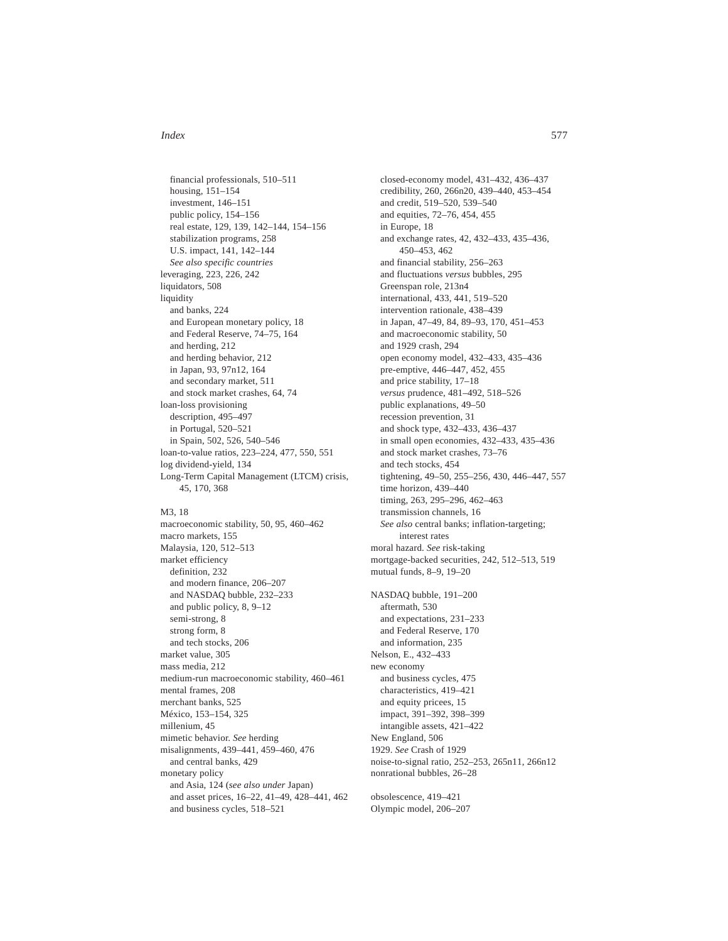financial professionals, 510–511 housing, 151–154 investment, 146–151 public policy, 154–156 real estate, 129, 139, 142–144, 154–156 stabilization programs, 258 U.S. impact, 141, 142–144 *See also specific countries* leveraging, 223, 226, 242 liquidators, 508 liquidity and banks, 224 and European monetary policy, 18 and Federal Reserve, 74–75, 164 and herding, 212 and herding behavior, 212 in Japan, 93, 97n12, 164 and secondary market, 511 and stock market crashes, 64, 74 loan-loss provisioning description, 495–497 in Portugal, 520–521 in Spain, 502, 526, 540–546 loan-to-value ratios, 223–224, 477, 550, 551 log dividend-yield, 134 Long-Term Capital Management (LTCM) crisis, 45, 170, 368

## M3, 18

macroeconomic stability, 50, 95, 460–462 macro markets, 155 Malaysia, 120, 512–513 market efficiency definition, 232 and modern finance, 206–207 and NASDAQ bubble, 232–233 and public policy, 8, 9–12 semi-strong, 8 strong form, 8 and tech stocks, 206 market value, 305 mass media, 212 medium-run macroeconomic stability, 460–461 mental frames, 208 merchant banks, 525 México, 153–154, 325 millenium, 45 mimetic behavior. *See* herding misalignments, 439–441, 459–460, 476 and central banks, 429 monetary policy and Asia, 124 (*see also under* Japan) and asset prices, 16–22, 41–49, 428–441, 462 and business cycles, 518–521

closed-economy model, 431–432, 436–437 credibility, 260, 266n20, 439–440, 453–454 and credit, 519–520, 539–540 and equities, 72–76, 454, 455 in Europe, 18 and exchange rates, 42, 432–433, 435–436, 450–453, 462 and financial stability, 256–263 and fluctuations *versus* bubbles, 295 Greenspan role, 213n4 international, 433, 441, 519–520 intervention rationale, 438–439 in Japan, 47–49, 84, 89–93, 170, 451–453 and macroeconomic stability, 50 and 1929 crash, 294 open economy model, 432–433, 435–436 pre-emptive, 446–447, 452, 455 and price stability, 17–18 *versus* prudence, 481–492, 518–526 public explanations, 49–50 recession prevention, 31 and shock type, 432–433, 436–437 in small open economies, 432–433, 435–436 and stock market crashes, 73–76 and tech stocks, 454 tightening, 49–50, 255–256, 430, 446–447, 557 time horizon, 439–440 timing, 263, 295–296, 462–463 transmission channels, 16 *See also* central banks; inflation-targeting; interest rates moral hazard. *See* risk-taking mortgage-backed securities, 242, 512–513, 519 mutual funds, 8–9, 19–20 NASDAQ bubble, 191–200 aftermath, 530 and expectations, 231–233 and Federal Reserve, 170 and information, 235 Nelson, E., 432–433 new economy and business cycles, 475 characteristics, 419–421 and equity pricees, 15 impact, 391–392, 398–399 intangible assets, 421–422 New England, 506 1929. *See* Crash of 1929 noise-to-signal ratio, 252–253, 265n11, 266n12 nonrational bubbles, 26–28

obsolescence, 419–421 Olympic model, 206–207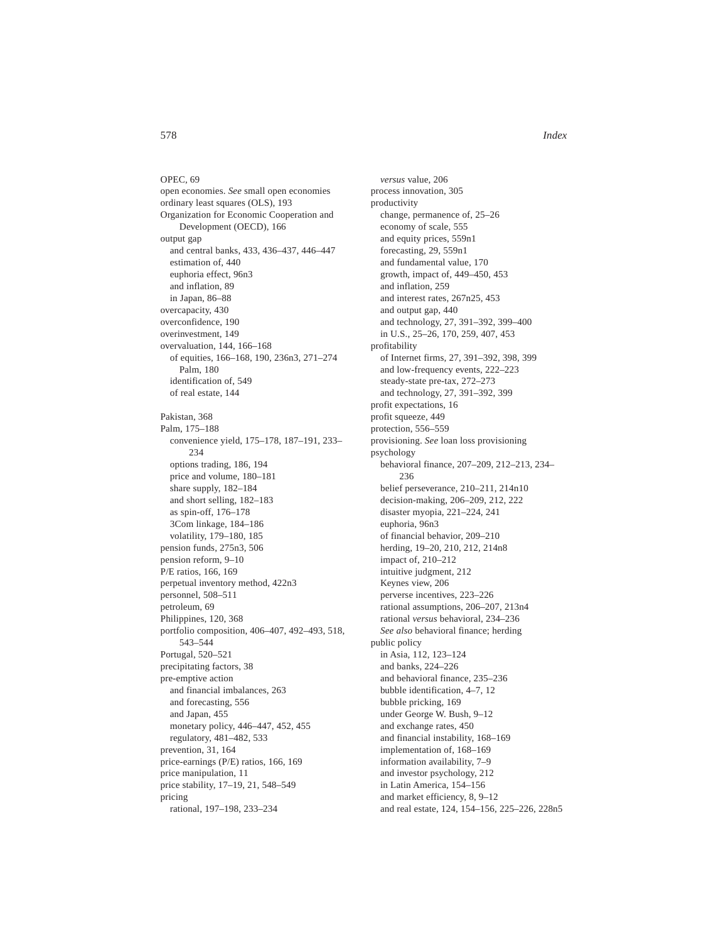OPEC, 69 open economies. *See* small open economies ordinary least squares (OLS), 193 Organization for Economic Cooperation and Development (OECD), 166 output gap and central banks, 433, 436–437, 446–447 estimation of, 440 euphoria effect, 96n3 and inflation, 89 in Japan, 86–88 overcapacity, 430 overconfidence, 190 overinvestment, 149 overvaluation, 144, 166–168 of equities, 166–168, 190, 236n3, 271–274 Palm, 180 identification of, 549 of real estate, 144 Pakistan, 368 Palm, 175–188 convenience yield, 175–178, 187–191, 233– 234 options trading, 186, 194 price and volume, 180–181 share supply, 182–184 and short selling, 182–183 as spin-off, 176–178 3Com linkage, 184–186 volatility, 179–180, 185 pension funds, 275n3, 506 pension reform, 9–10 P/E ratios, 166, 169 perpetual inventory method, 422n3 personnel, 508–511 petroleum, 69 Philippines, 120, 368 portfolio composition, 406–407, 492–493, 518, 543–544 Portugal, 520–521 precipitating factors, 38 pre-emptive action and financial imbalances, 263 and forecasting, 556 and Japan, 455 monetary policy, 446–447, 452, 455 regulatory, 481–482, 533 prevention, 31, 164 price-earnings (P/E) ratios, 166, 169 price manipulation, 11 price stability, 17–19, 21, 548–549 pricing rational, 197–198, 233–234

*versus* value, 206 process innovation, 305 productivity change, permanence of, 25–26 economy of scale, 555 and equity prices, 559n1 forecasting, 29, 559n1 and fundamental value, 170 growth, impact of, 449–450, 453 and inflation, 259 and interest rates, 267n25, 453 and output gap, 440 and technology, 27, 391–392, 399–400 in U.S., 25–26, 170, 259, 407, 453 profitability of Internet firms, 27, 391–392, 398, 399 and low-frequency events, 222–223 steady-state pre-tax, 272–273 and technology, 27, 391–392, 399 profit expectations, 16 profit squeeze, 449 protection, 556–559 provisioning. *See* loan loss provisioning psychology behavioral finance, 207–209, 212–213, 234– 236 belief perseverance, 210–211, 214n10 decision-making, 206–209, 212, 222 disaster myopia, 221–224, 241 euphoria, 96n3 of financial behavior, 209–210 herding, 19–20, 210, 212, 214n8 impact of, 210–212 intuitive judgment, 212 Keynes view, 206 perverse incentives, 223–226 rational assumptions, 206–207, 213n4 rational *versus* behavioral, 234–236 *See also* behavioral finance; herding public policy in Asia, 112, 123–124 and banks, 224–226 and behavioral finance, 235–236 bubble identification, 4–7, 12 bubble pricking, 169 under George W. Bush, 9–12 and exchange rates, 450 and financial instability, 168–169 implementation of, 168–169 information availability, 7–9 and investor psychology, 212 in Latin America, 154–156 and market efficiency, 8, 9–12 and real estate, 124, 154–156, 225–226, 228n5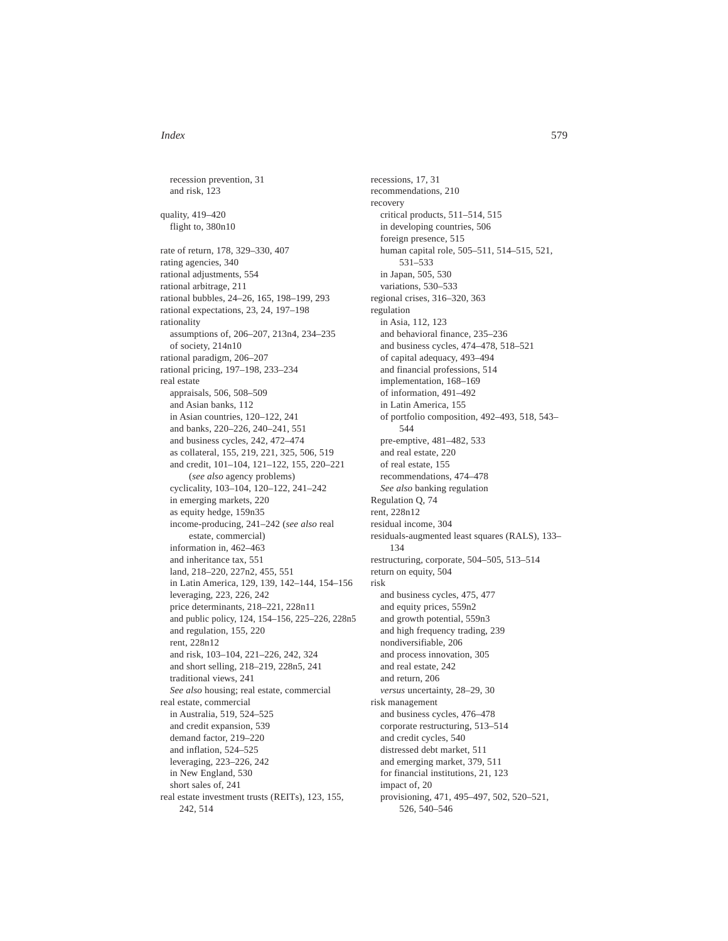recession prevention, 31 and risk, 123 quality, 419–420 flight to, 380n10 rate of return, 178, 329–330, 407 rating agencies, 340 rational adjustments, 554 rational arbitrage, 211 rational bubbles, 24–26, 165, 198–199, 293 rational expectations, 23, 24, 197–198 rationality assumptions of, 206–207, 213n4, 234–235 of society, 214n10 rational paradigm, 206–207 rational pricing, 197–198, 233–234 real estate appraisals, 506, 508–509 and Asian banks, 112 in Asian countries, 120–122, 241 and banks, 220–226, 240–241, 551 and business cycles, 242, 472–474 as collateral, 155, 219, 221, 325, 506, 519 and credit, 101–104, 121–122, 155, 220–221 (*see also* agency problems) cyclicality, 103–104, 120–122, 241–242 in emerging markets, 220 as equity hedge, 159n35 income-producing, 241–242 (*see also* real estate, commercial) information in, 462–463 and inheritance tax, 551 land, 218–220, 227n2, 455, 551 in Latin America, 129, 139, 142–144, 154–156 leveraging, 223, 226, 242 price determinants, 218–221, 228n11 and public policy, 124, 154–156, 225–226, 228n5 and regulation, 155, 220 rent, 228n12 and risk, 103–104, 221–226, 242, 324 and short selling, 218–219, 228n5, 241 traditional views, 241 *See also* housing; real estate, commercial real estate, commercial in Australia, 519, 524–525 and credit expansion, 539 demand factor, 219–220 and inflation, 524–525 leveraging, 223–226, 242 in New England, 530 short sales of, 241 real estate investment trusts (REITs), 123, 155, 242, 514

recessions, 17, 31 recommendations, 210 recovery critical products, 511–514, 515 in developing countries, 506 foreign presence, 515 human capital role, 505–511, 514–515, 521, 531–533 in Japan, 505, 530 variations, 530–533 regional crises, 316–320, 363 regulation in Asia, 112, 123 and behavioral finance, 235–236 and business cycles, 474–478, 518–521 of capital adequacy, 493–494 and financial professions, 514 implementation, 168–169 of information, 491–492 in Latin America, 155 of portfolio composition, 492–493, 518, 543– 544 pre-emptive, 481–482, 533 and real estate, 220 of real estate, 155 recommendations, 474–478 *See also* banking regulation Regulation Q, 74 rent, 228n12 residual income, 304 residuals-augmented least squares (RALS), 133– 134 restructuring, corporate, 504–505, 513–514 return on equity, 504 risk and business cycles, 475, 477 and equity prices, 559n2 and growth potential, 559n3 and high frequency trading, 239 nondiversifiable, 206 and process innovation, 305 and real estate, 242 and return, 206 *versus* uncertainty, 28–29, 30 risk management and business cycles, 476–478 corporate restructuring, 513–514 and credit cycles, 540 distressed debt market, 511 and emerging market, 379, 511 for financial institutions, 21, 123 impact of, 20 provisioning, 471, 495–497, 502, 520–521, 526, 540–546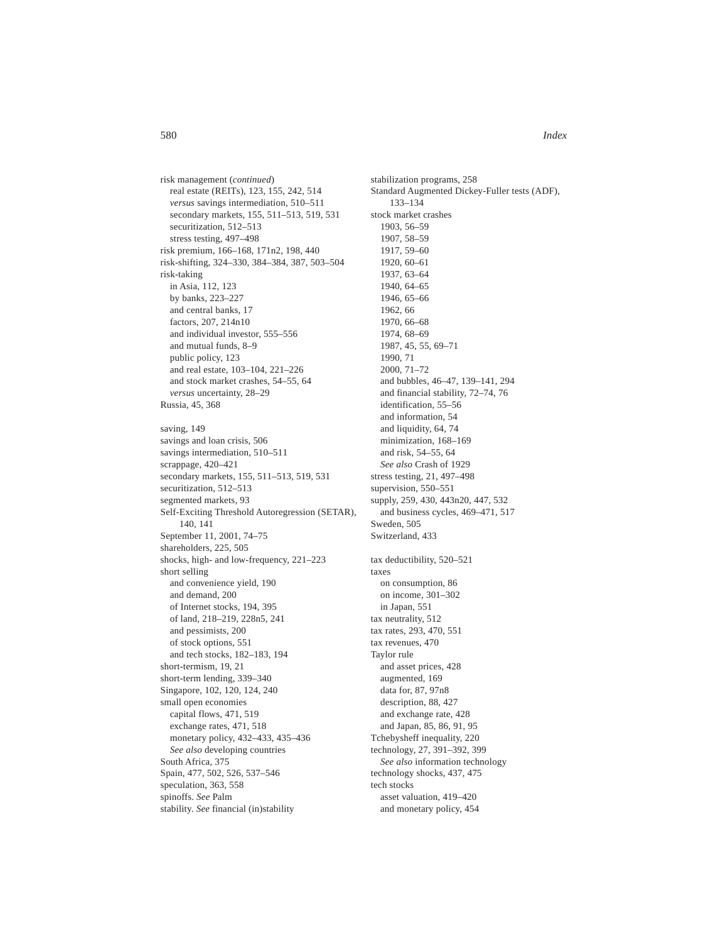risk management (*continued*) real estate (REITs), 123, 155, 242, 514 *versus* savings intermediation, 510–511 secondary markets, 155, 511–513, 519, 531 securitization, 512–513 stress testing, 497–498 risk premium, 166–168, 171n2, 198, 440 risk-shifting, 324–330, 384–384, 387, 503–504 risk-taking in Asia, 112, 123 by banks, 223–227 and central banks, 17 factors, 207, 214n10 and individual investor, 555–556 and mutual funds, 8–9 public policy, 123 and real estate, 103–104, 221–226 and stock market crashes, 54–55, 64 *versus* uncertainty, 28–29 Russia, 45, 368 saving, 149 savings and loan crisis, 506 savings intermediation, 510–511 scrappage, 420–421 secondary markets, 155, 511–513, 519, 531 securitization, 512–513 segmented markets, 93 Self-Exciting Threshold Autoregression (SETAR), 140, 141 September 11, 2001, 74–75 shareholders, 225, 505 shocks, high- and low-frequency, 221–223 short selling and convenience yield, 190 and demand, 200 of Internet stocks, 194, 395 of land, 218–219, 228n5, 241 and pessimists, 200 of stock options, 551 and tech stocks, 182–183, 194 short-termism, 19, 21 short-term lending, 339–340 Singapore, 102, 120, 124, 240 small open economies capital flows, 471, 519 exchange rates, 471, 518 monetary policy, 432–433, 435–436 *See also* developing countries South Africa, 375 Spain, 477, 502, 526, 537–546 speculation, 363, 558 spinoffs. *See* Palm

stability. *See* financial (in)stability

stabilization programs, 258 Standard Augmented Dickey-Fuller tests (ADF), 133–134 stock market crashes 1903, 56–59 1907, 58–59 1917, 59–60 1920, 60–61 1937, 63–64 1940, 64–65 1946, 65–66 1962, 66 1970, 66–68 1974, 68–69 1987, 45, 55, 69–71 1990, 71 2000, 71–72 and bubbles, 46–47, 139–141, 294 and financial stability, 72–74, 76 identification, 55–56 and information, 54 and liquidity, 64, 74 minimization, 168–169 and risk, 54–55, 64 *See also* Crash of 1929 stress testing, 21, 497–498 supervision, 550–551 supply, 259, 430, 443n20, 447, 532 and business cycles, 469–471, 517 Sweden, 505 Switzerland, 433 tax deductibility, 520–521 taxes on consumption, 86 on income, 301–302 in Japan, 551 tax neutrality, 512 tax rates, 293, 470, 551 tax revenues, 470 Taylor rule and asset prices, 428 augmented, 169 data for, 87, 97n8 description, 88, 427 and exchange rate, 428 and Japan, 85, 86, 91, 95 Tchebysheff inequality, 220 technology, 27, 391–392, 399 *See also* information technology technology shocks, 437, 475 tech stocks asset valuation, 419–420

and monetary policy, 454